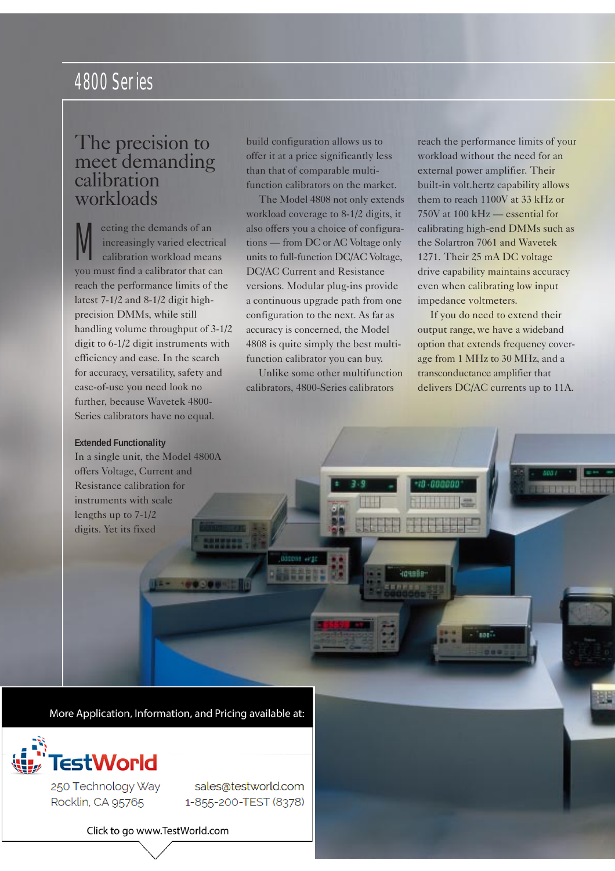# The precision to meet demanding calibration workloads

M eeting the demands of an increasingly varied electrical calibration workload means you must find a calibrator that can reach the performance limits of the latest 7-1/2 and 8-1/2 digit highprecision DMMs, while still handling volume throughput of 3-1/2 digit to 6-1/2 digit instruments with efficiency and ease. In the search for accuracy, versatility, safety and ease-of-use you need look no further, because Wavetek 4800- Series calibrators have no equal.

#### **Extended Functionality**

In a single unit, the Model 4800A offers Voltage, Current and Resistance calibration for instruments with scale lengths up to 7-1/2 digits. Yet its fixed

build configuration allows us to offer it at a price significantly less than that of comparable multifunction calibrators on the market.

The Model 4808 not only extends workload coverage to 8-1/2 digits, it also offers you a choice of configurations — from DC or AC Voltage only units to full-function DC/AC Voltage, DC/AC Current and Resistance versions. Modular plug-ins provide a continuous upgrade path from one configuration to the next. As far as accuracy is concerned, the Model 4808 is quite simply the best multifunction calibrator you can buy.

Unlike some other multifunction calibrators, 4800-Series calibrators

HOHABS

reach the performance limits of your workload without the need for an external power amplifier. Their built-in volt.hertz capability allows them to reach 1100V at 33 kHz or 750V at 100 kHz — essential for calibrating high-end DMMs such as the Solartron 7061 and Wavetek 1271. Their 25 mA DC voltage drive capability maintains accuracy even when calibrating low input impedance voltmeters.

If you do need to extend their output range, we have a wideband option that extends frequency coverage from 1 MHz to 30 MHz, and a transconductance amplifier that delivers DC/AC currents up to 11A.

**SART** 

n mil

More Application, Information, and Pricing available at:

1993984



250 Technology Way Rocklin, CA 95765

sales@testworld.com 1-855-200-TEST (8378)

Click to go www.TestWorld.com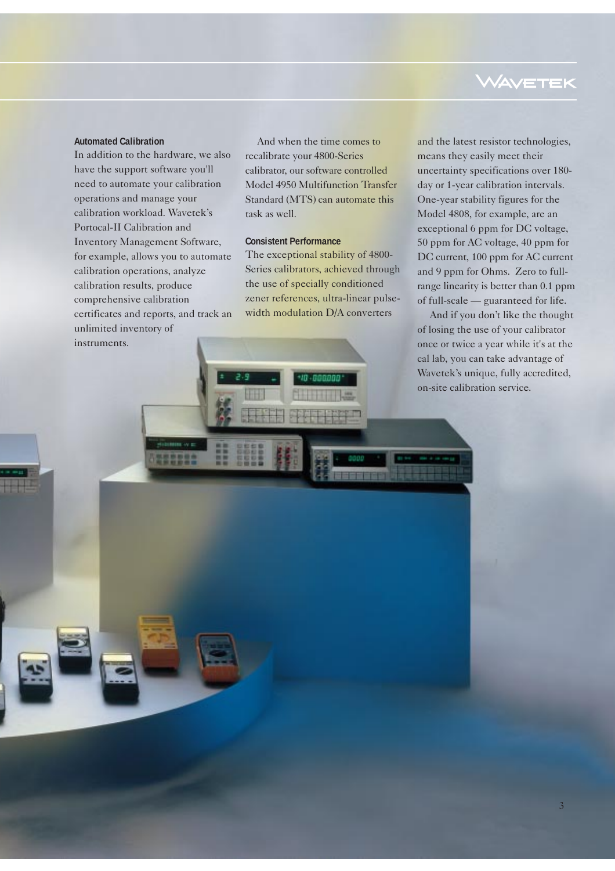#### **Automated Calibration**

In addition to the hardware, we also have the support software you'll need to automate your calibration operations and manage your calibration workload. Wavetek's Portocal-II Calibration and Inventory Management Software, for example, allows you to automate calibration operations, analyze calibration results, produce comprehensive calibration certificates and reports, and track an unlimited inventory of instruments.

And when the time comes to recalibrate your 4800-Series calibrator, our software controlled Model 4950 Multifunction Transfer Standard (MTS) can automate this task as well.

### **Consistent Performance**

The exceptional stability of 4800- Series calibrators, achieved through the use of specially conditioned zener references, ultra-linear pulsewidth modulation D/A converters

# **WAVETEK**

and the latest resistor technologies, means they easily meet their uncertainty specifications over 180 day or 1-year calibration intervals. One-year stability figures for the Model 4808, for example, are an exceptional 6 ppm for DC voltage, 50 ppm for AC voltage, 40 ppm for DC current, 100 ppm for AC current and 9 ppm for Ohms. Zero to fullrange linearity is better than 0.1 ppm of full-scale — guaranteed for life.

And if you don't like the thought of losing the use of your calibrator once or twice a year while it's at the cal lab, you can take advantage of Wavetek's unique, fully accredited, on-site calibration service.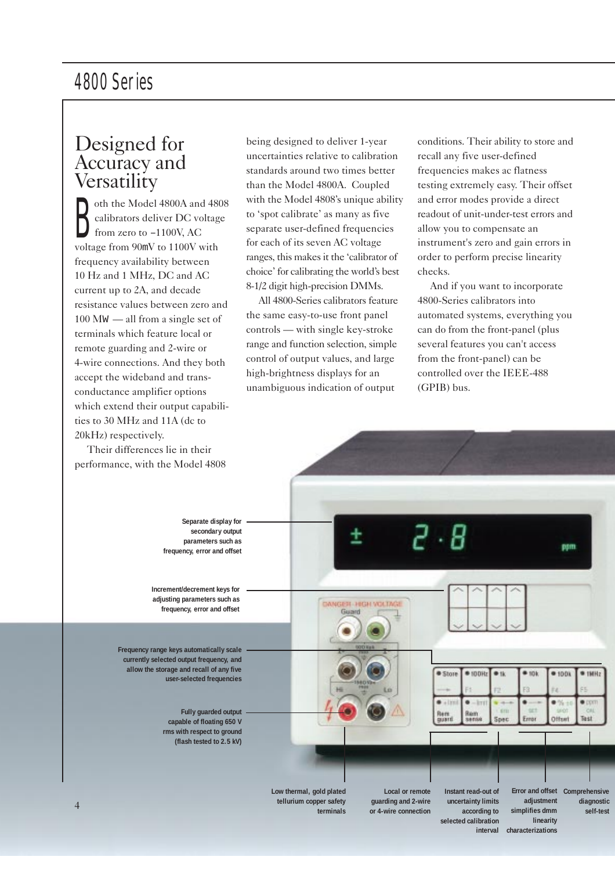# Designed for Accuracy and **Versatility**

B oth the Model 4800A and 4808 calibrators deliver DC voltage from zero to –1100V, AC voltage from 90mV to 1100V with frequency availability between 10 Hz and 1 MHz, DC and AC current up to 2A, and decade resistance values between zero and 100 MW — all from a single set of terminals which feature local or remote guarding and 2-wire or 4-wire connections. And they both accept the wideband and transconductance amplifier options which extend their output capabilities to 30 MHz and 11A (dc to 20kHz) respectively.

Their differences lie in their

being designed to deliver 1-year uncertainties relative to calibration standards around two times better than the Model 4800A. Coupled with the Model 4808's unique ability to 'spot calibrate' as many as five separate user-defined frequencies for each of its seven AC voltage ranges, this makes it the 'calibrator of choice' for calibrating the world's best 8-1/2 digit high-precision DMMs.

All 4800-Series calibrators feature the same easy-to-use front panel controls — with single key-stroke range and function selection, simple control of output values, and large high-brightness displays for an unambiguous indication of output

conditions. Their ability to store and recall any five user-defined frequencies makes ac flatness testing extremely easy. Their offset and error modes provide a direct readout of unit-under-test errors and allow you to compensate an instrument's zero and gain errors in order to perform precise linearity checks.

And if you want to incorporate 4800-Series calibrators into automated systems, everything you can do from the front-panel (plus several features you can't access from the front-panel) can be controlled over the IEEE-488 (GPIB) bus.

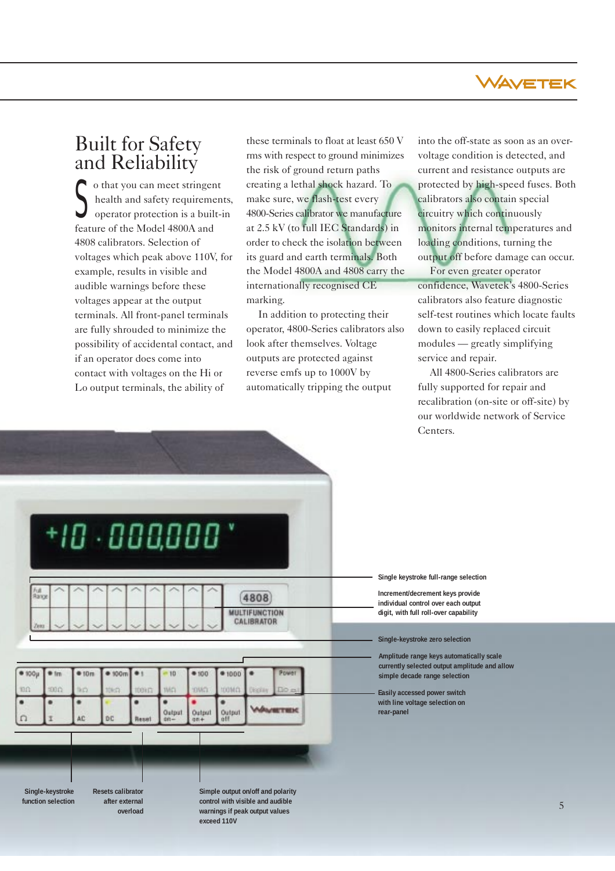

# Built for Safety and Reliability

 $\begin{cases} \text{o that you can meet stringent} \\ \text{health and safety requirement} \\ \text{operator protection is a built-} \end{cases}$ health and safety requirements, operator protection is a built-in feature of the Model 4800A and 4808 calibrators. Selection of voltages which peak above 110V, for example, results in visible and audible warnings before these voltages appear at the output terminals. All front-panel terminals are fully shrouded to minimize the possibility of accidental contact, and if an operator does come into contact with voltages on the Hi or Lo output terminals, the ability of

these terminals to float at least 650 V rms with respect to ground minimizes the risk of ground return paths creating a lethal shock hazard. To make sure, we flash-test every 4800-Series calibrator we manufacture at 2.5 kV (to full IEC Standards) in order to check the isolation between its guard and earth terminals. Both the Model 4800A and 4808 carry the internationally recognised CE marking.

In addition to protecting their operator, 4800-Series calibrators also look after themselves. Voltage outputs are protected against reverse emfs up to 1000V by automatically tripping the output

into the off-state as soon as an overvoltage condition is detected, and current and resistance outputs are protected by high-speed fuses. Both calibrators also contain special circuitry which continuously monitors internal temperatures and loading conditions, turning the output off before damage can occur.

For even greater operator confidence, Wavetek's 4800-Series calibrators also feature diagnostic self-test routines which locate faults down to easily replaced circuit modules — greatly simplifying service and repair.

All 4800-Series calibrators are fully supported for repair and recalibration (on-site or off-site) by our worldwide network of Service Centers.

| v<br>10 000,000<br>Full<br>Range<br>4808<br><b>MULTIFUNCTION</b><br>CALIBRATOR<br>Zena<br>$+100\mu$<br>Power<br>$*$ 100 $m$<br>m<br>010m<br>$+1$<br>$001 +$<br>$-10$<br>$*1000$<br>100<br>1000<br>tico<br>TMCL<br><b>TOOM CL</b><br>10k <sub>1</sub><br><b>SIVICE</b><br>Do a<br>100km<br>Display<br><b>BETREK</b><br>Output<br>aff<br>Output<br>on+<br>Output<br>AC<br>DC<br>Ï<br>Reset<br>$80 -$ |  |  |  |  |  |  |
|----------------------------------------------------------------------------------------------------------------------------------------------------------------------------------------------------------------------------------------------------------------------------------------------------------------------------------------------------------------------------------------------------|--|--|--|--|--|--|
|                                                                                                                                                                                                                                                                                                                                                                                                    |  |  |  |  |  |  |
|                                                                                                                                                                                                                                                                                                                                                                                                    |  |  |  |  |  |  |
|                                                                                                                                                                                                                                                                                                                                                                                                    |  |  |  |  |  |  |
|                                                                                                                                                                                                                                                                                                                                                                                                    |  |  |  |  |  |  |
|                                                                                                                                                                                                                                                                                                                                                                                                    |  |  |  |  |  |  |
|                                                                                                                                                                                                                                                                                                                                                                                                    |  |  |  |  |  |  |
|                                                                                                                                                                                                                                                                                                                                                                                                    |  |  |  |  |  |  |
|                                                                                                                                                                                                                                                                                                                                                                                                    |  |  |  |  |  |  |
|                                                                                                                                                                                                                                                                                                                                                                                                    |  |  |  |  |  |  |
|                                                                                                                                                                                                                                                                                                                                                                                                    |  |  |  |  |  |  |

**exceed 110V**

**Single keystroke full-range selection**

**Increment/decrement keys provide individual control over each output digit, with full roll-over capability**

**Single-keystroke zero selection**

**Amplitude range keys automatically scale currently selected output amplitude and allow simple decade range selection**

**Easily accessed power switch with line voltage selection on rear-panel**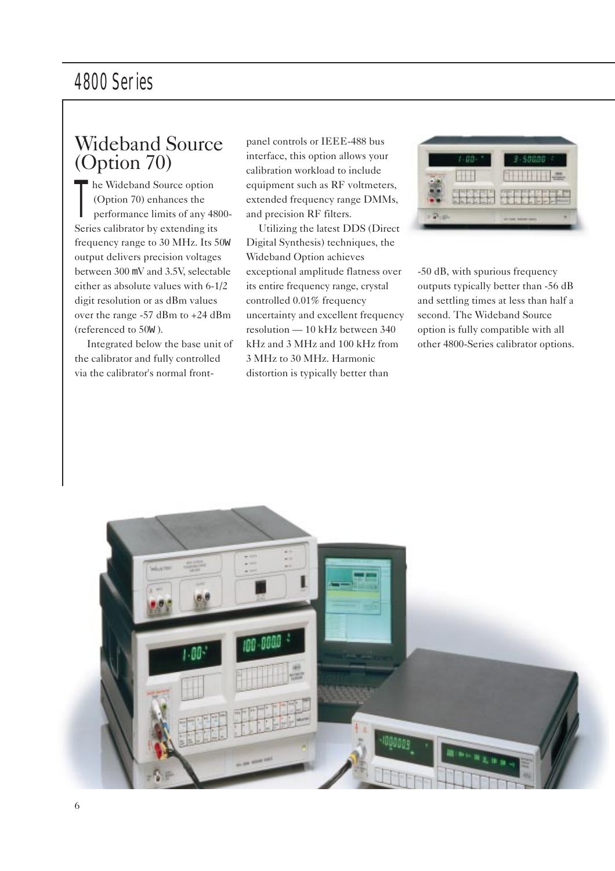# Wideband Source (Option 70)

T he Wideband Source option (Option 70) enhances the performance limits of any 4800- Series calibrator by extending its frequency range to 30 MHz. Its 50W output delivers precision voltages between 300 mV and 3.5V, selectable either as absolute values with 6-1/2 digit resolution or as dBm values over the range -57 dBm to +24 dBm (referenced to 50W ).

Integrated below the base unit of the calibrator and fully controlled via the calibrator's normal frontpanel controls or IEEE-488 bus interface, this option allows your calibration workload to include equipment such as RF voltmeters, extended frequency range DMMs, and precision RF filters.

Utilizing the latest DDS (Direct Digital Synthesis) techniques, the Wideband Option achieves exceptional amplitude flatness over its entire frequency range, crystal controlled 0.01% frequency uncertainty and excellent frequency resolution — 10 kHz between 340 kHz and 3 MHz and 100 kHz from 3 MHz to 30 MHz. Harmonic distortion is typically better than



-50 dB, with spurious frequency outputs typically better than -56 dB and settling times at less than half a second. The Wideband Source option is fully compatible with all other 4800-Series calibrator options.

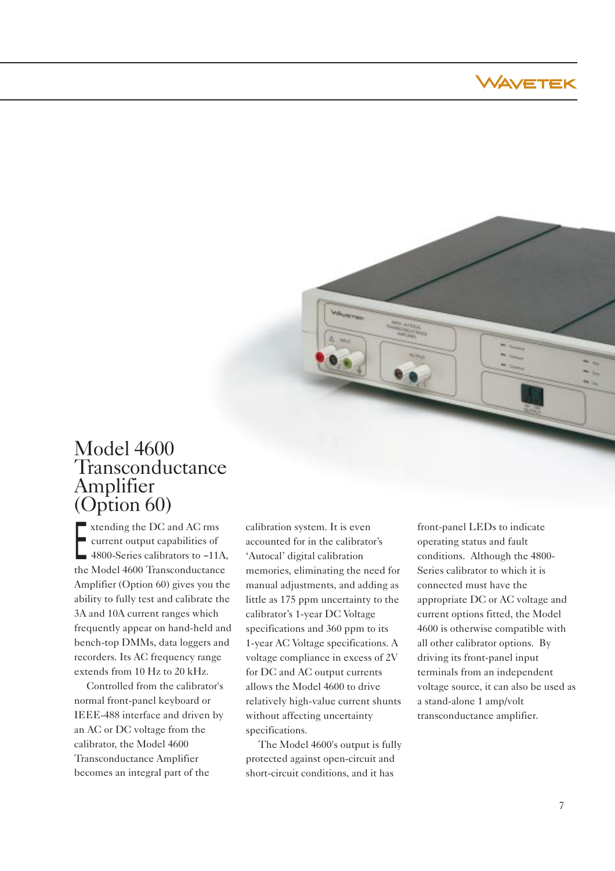



# Model 4600 Transconductance Amplifier (Option 60)

Extending the DC and AC rms<br>current output capabilities of<br>4800-Series calibrators to −11 current output capabilities of 4800-Series calibrators to –11A, the Model 4600 Transconductance Amplifier (Option 60) gives you the ability to fully test and calibrate the 3A and 10A current ranges which frequently appear on hand-held and bench-top DMMs, data loggers and recorders. Its AC frequency range extends from 10 Hz to 20 kHz.

Controlled from the calibrator's normal front-panel keyboard or IEEE-488 interface and driven by an AC or DC voltage from the calibrator, the Model 4600 Transconductance Amplifier becomes an integral part of the

calibration system. It is even accounted for in the calibrator's 'Autocal' digital calibration memories, eliminating the need for manual adjustments, and adding as little as 175 ppm uncertainty to the calibrator's 1-year DC Voltage specifications and 360 ppm to its 1-year AC Voltage specifications. A voltage compliance in excess of 2V for DC and AC output currents allows the Model 4600 to drive relatively high-value current shunts without affecting uncertainty specifications.

The Model 4600's output is fully protected against open-circuit and short-circuit conditions, and it has

front-panel LEDs to indicate operating status and fault conditions. Although the 4800- Series calibrator to which it is connected must have the appropriate DC or AC voltage and current options fitted, the Model 4600 is otherwise compatible with all other calibrator options. By driving its front-panel input terminals from an independent voltage source, it can also be used as a stand-alone 1 amp/volt transconductance amplifier.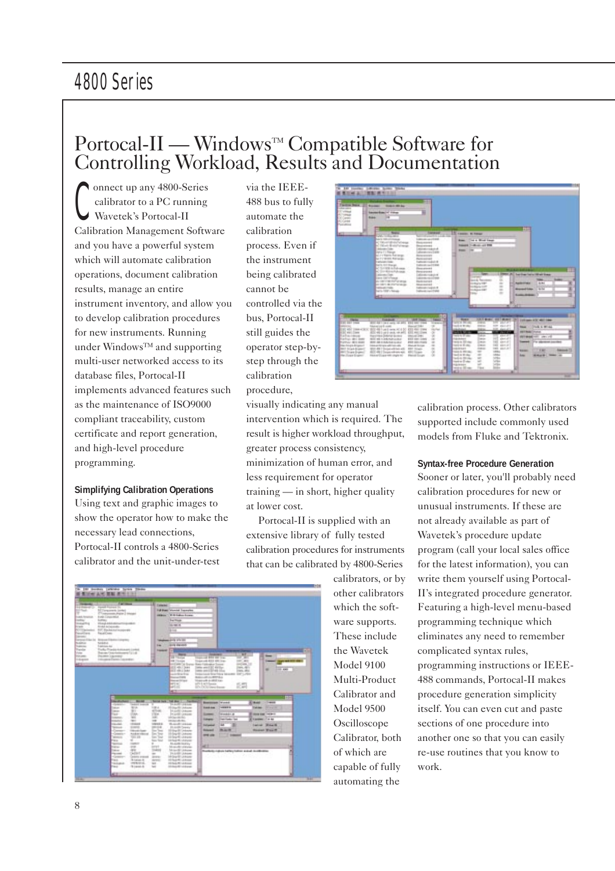# Portocal-II — Windows™ Compatible Software for Controlling Workload, Results and Documentation

C onnect up any 4800-Series calibrator to a PC running Wavetek's Portocal-II Calibration Management Software and you have a powerful system which will automate calibration operations, document calibration results, manage an entire instrument inventory, and allow you to develop calibration procedures for new instruments. Running under Windows™ and supporting multi-user networked access to its database files, Portocal-II implements advanced features such as the maintenance of ISO9000 compliant traceability, custom certificate and report generation, and high-level procedure programming.

#### **Simplifying Calibration Operations**

Using text and graphic images to show the operator how to make the necessary lead connections, Portocal-II controls a 4800-Series calibrator and the unit-under-test

via the IEEE-488 bus to fully automate the calibration process. Even if the instrument being calibrated cannot be controlled via the bus, Portocal-II still guides the operator step-bystep through the calibration procedure,

visually indicating any manual intervention which is required. The result is higher workload throughput, greater process consistency, minimization of human error, and less requirement for operator training — in short, higher quality at lower cost.

Portocal-II is supplied with an extensive library of fully tested calibration procedures for instruments that can be calibrated by 4800-Series

|                                                                                          |                                                                                    | <b>Fig</b>                                                           |                                    |                |
|------------------------------------------------------------------------------------------|------------------------------------------------------------------------------------|----------------------------------------------------------------------|------------------------------------|----------------|
|                                                                                          | <b>LE connel</b>                                                                   |                                                                      |                                    |                |
| <b>Address of Co.</b><br><b>Hamed Assistant Dist</b><br><b>Bill (Companients Conden)</b> | <b>Editions</b> Vieweld Experience                                                 |                                                                      |                                    |                |
| Christopher Angle 3 Minister                                                             | <b>E-5 Lates Lower</b><br><b>HERMAN</b>                                            |                                                                      |                                    |                |
| <b>Európ Consormius</b><br>Load, America                                                 |                                                                                    |                                                                      |                                    |                |
| <b>SUPPOSE</b><br><b>Solution St</b><br><b>PEAK A RAWLEST FOR THE</b>                    | <b>La Tina</b>                                                                     |                                                                      |                                    |                |
| <b>Bidde Atheneder</b>                                                                   | <b>HEIGHT HE</b>                                                                   |                                                                      |                                    |                |
| <b>NOTENING</b><br>EIT Exchangement<br><b>Facus Cours</b><br><b>Marchine</b>             | <b>SECURE</b>                                                                      |                                                                      |                                    |                |
| <b>Service</b>                                                                           |                                                                                    |                                                                      |                                    |                |
| <b>Green Fisch</b><br><b>Bridgest Filte Are Collaption</b><br>National<br><b>SIGRAL</b>  | point of a con-                                                                    |                                                                      |                                    |                |
| <b>Subscribe</b><br>Traditions Act                                                       | <b>Arts Parish</b><br><b>East</b>                                                  |                                                                      |                                    |                |
| Topolos<br>Trades Transity Associates (control                                           | H.<br><b><i><u>Transport</u></i></b>                                               |                                                                      |                                    |                |
| be a farmaced in a<br><b>COLORADO</b><br>The state Corporate p                           | <b>Barried</b><br><b>TITICS</b>                                                    | <b>Alleged</b><br>the court and the court coup.                      | иf<br>-<br>1978                    |                |
| tagen<br>Industries Eastern Laurenter.                                                   | <b>BBTS-row</b>                                                                    | Transport with \$10.2 Mill Trans-                                    | $-0.001$                           |                |
|                                                                                          |                                                                                    | and with the finance down instrument formula                         | and was 1.0                        |                |
|                                                                                          | <b>BEC-4011 State</b>                                                              | sees see 2.2.1 decline.                                              | land, Allin<br>٠                   | <b>COLLEGE</b> |
|                                                                                          | <b>BEE HALL SAY</b><br><b>LASTER STA</b>                                           | came care it \$10.45 (clus)<br>Telecial StarTist Mount 107, 1991     | men, sky.                          |                |
|                                                                                          |                                                                                    |                                                                      |                                    |                |
|                                                                                          | <b>Survey Fords</b>                                                                | <b>BASIC ART CURRY BALL</b>                                          |                                    |                |
|                                                                                          | <b>Report Follows</b>                                                              | Telephonic and the self of the pro-                                  |                                    |                |
|                                                                                          | <b>LET AC</b>                                                                      | ally LaClasse                                                        | at an                              |                |
|                                                                                          | $-111$<br><b>ALC US</b>                                                            | <b>IDCOUNTER</b>                                                     | ac and                             |                |
|                                                                                          |                                                                                    |                                                                      |                                    |                |
| <b>Service</b><br><b>Book</b>                                                            | <b>Call Mark III</b><br><b>Service Here</b><br><b>Target</b>                       |                                                                      |                                    | <b>COLL</b>    |
| <b>CONTRACT</b><br><b>Sedan C. Associate</b>                                             | Statistical College<br>×                                                           | <b>Executive Connect</b>                                             | <b>House</b><br><b>Lake A</b>      |                |
| <b>Blue</b><br><b>Sales</b><br>e.<br><b>Second</b>                                       | 10 Digital Advance<br>1130.4<br>All County<br>14.6×30 Adverts                      | work is<br><b><i><u>Grand Ave</u></i></b>                            | <b>Talking</b><br><b>Distances</b> |                |
| <b>Sept.</b><br>Film.                                                                    | 17 Minn<br>PLANE LEASER                                                            | <b>MONAGE A</b><br>$-$                                               | <b>GOOD EST THEFT</b>              |                |
| <b>Lease</b><br>w.                                                                       | <b>HALL</b><br>shake an Ad                                                         | <b><i><u><u><b>TREES</b></u></u></i></b><br><b>Contribution Case</b> | A proposed 1774 Auto               |                |
| <b>STANDARD</b><br>$-$<br><b>District</b><br>12 March                                    | 100<br>Imported that<br><b>UNICE</b><br>Suite Andrew                               |                                                                      |                                    |                |
| <b>EMPLO</b><br><b>Silvest</b>                                                           | <b>MAGAZ</b><br><b>Di-Artific Sweets</b>                                           | <b>Salesman</b>                                                      | Lated Mine &                       |                |
| <b>Company</b><br><b>CAR code Grand</b><br>Andrewaters<br><b>Contract</b>                | <b>Sec Texas</b><br>15 King St. Leksons<br><b>Dec Tony</b><br>10-Septility Adverts | <b><i><u>SALES</u></i></b><br><b>BLACK</b>                           | <b><i><u>Rodrigi Wayne</u></i></b> |                |
| THE AW<br><b>Windows</b>                                                                 | <b>Sec Tour</b><br>10 Sep R. Linkards                                              | <b>The State</b><br><b>PH 28</b>                                     |                                    |                |
| <b>Patia</b><br>. .                                                                      | <b>San Your</b><br>10 No. 15 - A truck                                             |                                                                      |                                    |                |
| week<br><b>CAMBRIDGE</b><br><b>Tukish</b><br>ange.                                       | <b>BLAZE/ILEV-</b><br><b>LIFE E</b><br>Main All Allen                              | æ                                                                    |                                    |                |
| age.<br><b>Taking</b>                                                                    | <b>TARGE</b><br>Tel: Level & T. Johnson                                            | Therefore in the car battery hall are as a structure of              |                                    |                |
| <b>SAFET</b><br><b>Parameter</b>                                                         | THAMPLE AREA<br>$\sim$                                                             |                                                                      |                                    |                |
| <b>Highway</b><br><b>Jedniko procesi</b><br><b>Fisca</b><br>Wington Av                   | <b>STEE</b><br>19 (pp-S1, A Rom)<br><b>SERVICE</b><br>10 To 2 Hill, J. Rossey      |                                                                      |                                    |                |
| <b>TALENTA</b><br><b>INFR/RIGHT</b><br>No<br>78-logical dia                              | <b>SEE</b><br>10 Suit Mit Alberta<br><b>STAGE AT LEASE</b><br>tat                  |                                                                      |                                    |                |





calibration process. Other calibrators supported include commonly used models from Fluke and Tektronix.

### **Syntax-free Procedure Generation**

Sooner or later, you'll probably need calibration procedures for new or unusual instruments. If these are not already available as part of Wavetek's procedure update program (call your local sales office for the latest information), you can write them yourself using Portocal-II's integrated procedure generator. Featuring a high-level menu-based programming technique which eliminates any need to remember complicated syntax rules, programming instructions or IEEE-488 commands, Portocal-II makes procedure generation simplicity itself. You can even cut and paste sections of one procedure into another one so that you can easily re-use routines that you know to work.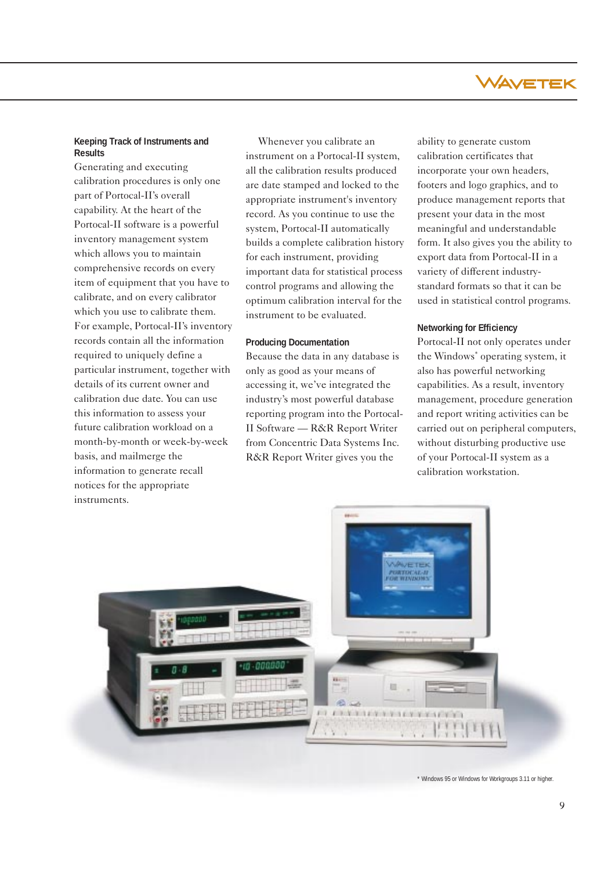

### **Keeping Track of Instruments and Results**

Generating and executing calibration procedures is only one part of Portocal-II's overall capability. At the heart of the Portocal-II software is a powerful inventory management system which allows you to maintain comprehensive records on every item of equipment that you have to calibrate, and on every calibrator which you use to calibrate them. For example, Portocal-II's inventory records contain all the information required to uniquely define a particular instrument, together with details of its current owner and calibration due date. You can use this information to assess your future calibration workload on a month-by-month or week-by-week basis, and mailmerge the information to generate recall notices for the appropriate instruments.

Whenever you calibrate an instrument on a Portocal-II system, all the calibration results produced are date stamped and locked to the appropriate instrument's inventory record. As you continue to use the system, Portocal-II automatically builds a complete calibration history for each instrument, providing important data for statistical process control programs and allowing the optimum calibration interval for the instrument to be evaluated.

#### **Producing Documentation**

Because the data in any database is only as good as your means of accessing it, we've integrated the industry's most powerful database reporting program into the Portocal-II Software — R&R Report Writer from Concentric Data Systems Inc. R&R Report Writer gives you the

ability to generate custom calibration certificates that incorporate your own headers, footers and logo graphics, and to produce management reports that present your data in the most meaningful and understandable form. It also gives you the ability to export data from Portocal-II in a variety of different industrystandard formats so that it can be used in statistical control programs.

#### **Networking for Efficiency**

Portocal-II not only operates under the Windows\* operating system, it also has powerful networking capabilities. As a result, inventory management, procedure generation and report writing activities can be carried out on peripheral computers, without disturbing productive use of your Portocal-II system as a calibration workstation.



\* Windows 95 or Windows for Workgroups 3.11 or higher.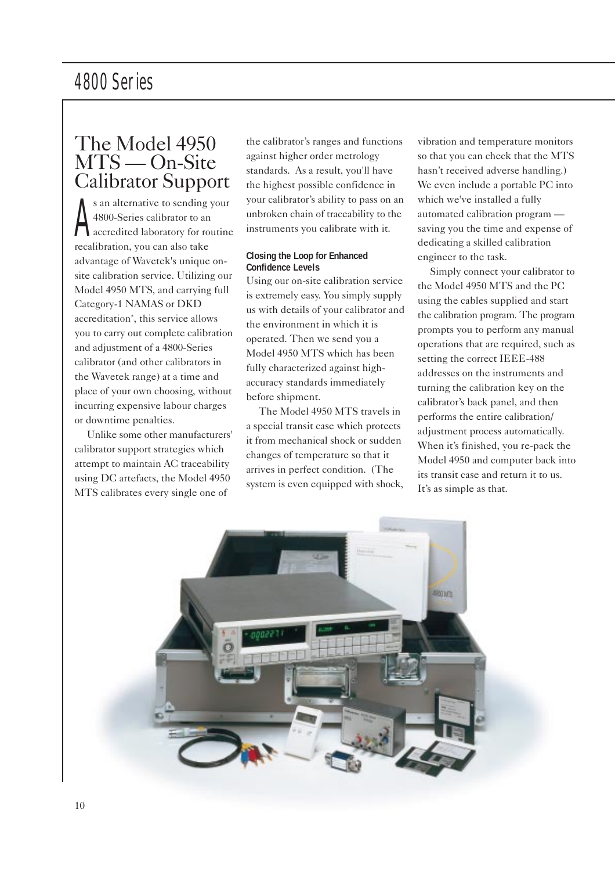# The Model 4950 MTS — On-Site Calibrator Support

A s an alternative to sending your 4800-Series calibrator to an accredited laboratory for routine recalibration, you can also take advantage of Wavetek's unique onsite calibration service. Utilizing our Model 4950 MTS, and carrying full Category-1 NAMAS or DKD accreditation\*, this service allows you to carry out complete calibration and adjustment of a 4800-Series calibrator (and other calibrators in the Wavetek range) at a time and place of your own choosing, without incurring expensive labour charges or downtime penalties.

Unlike some other manufacturers' calibrator support strategies which attempt to maintain AC traceability using DC artefacts, the Model 4950 MTS calibrates every single one of

the calibrator's ranges and functions against higher order metrology standards. As a result, you'll have the highest possible confidence in your calibrator's ability to pass on an unbroken chain of traceability to the instruments you calibrate with it.

### **Closing the Loop for Enhanced Confidence Levels**

Using our on-site calibration service is extremely easy. You simply supply us with details of your calibrator and the environment in which it is operated. Then we send you a Model 4950 MTS which has been fully characterized against highaccuracy standards immediately before shipment.

The Model 4950 MTS travels in a special transit case which protects it from mechanical shock or sudden changes of temperature so that it arrives in perfect condition. (The system is even equipped with shock, vibration and temperature monitors so that you can check that the MTS hasn't received adverse handling.) We even include a portable PC into which we've installed a fully automated calibration program saving you the time and expense of dedicating a skilled calibration engineer to the task.

Simply connect your calibrator to the Model 4950 MTS and the PC using the cables supplied and start the calibration program. The program prompts you to perform any manual operations that are required, such as setting the correct IEEE-488 addresses on the instruments and turning the calibration key on the calibrator's back panel, and then performs the entire calibration/ adjustment process automatically. When it's finished, you re-pack the Model 4950 and computer back into its transit case and return it to us. It's as simple as that.

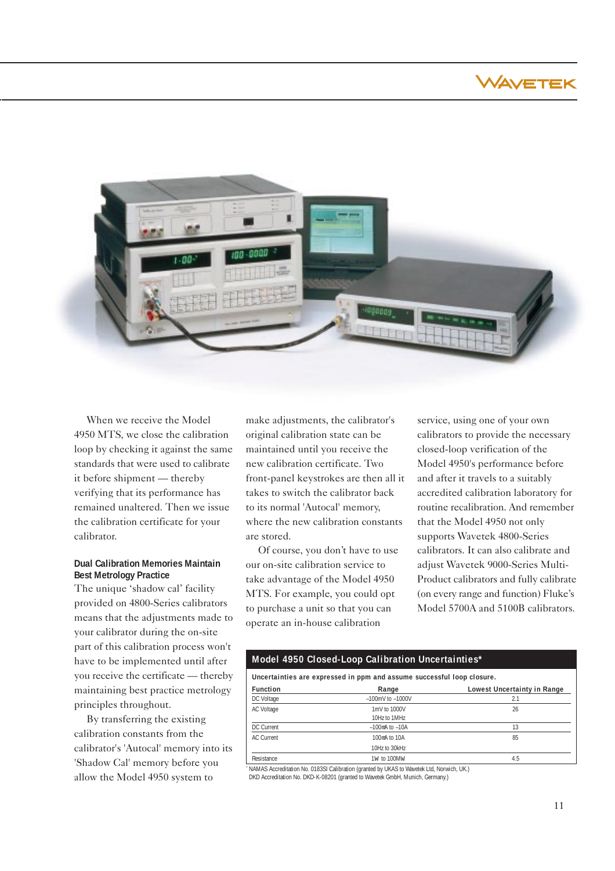WAVETEK



When we receive the Model 4950 MTS, we close the calibration loop by checking it against the same standards that were used to calibrate it before shipment — thereby verifying that its performance has remained unaltered. Then we issue the calibration certificate for your calibrator.

### **Dual Calibration Memories Maintain Best Metrology Practice**

The unique 'shadow cal' facility provided on 4800-Series calibrators means that the adjustments made to your calibrator during the on-site part of this calibration process won't have to be implemented until after you receive the certificate — thereby maintaining best practice metrology principles throughout.

By transferring the existing calibration constants from the calibrator's 'Autocal' memory into its 'Shadow Cal' memory before you allow the Model 4950 system to

make adjustments, the calibrator's original calibration state can be maintained until you receive the new calibration certificate. Two front-panel keystrokes are then all it takes to switch the calibrator back to its normal 'Autocal' memory, where the new calibration constants are stored.

Of course, you don't have to use our on-site calibration service to take advantage of the Model 4950 MTS. For example, you could opt to purchase a unit so that you can operate an in-house calibration

service, using one of your own calibrators to provide the necessary closed-loop verification of the Model 4950's performance before and after it travels to a suitably accredited calibration laboratory for routine recalibration. And remember that the Model 4950 not only supports Wavetek 4800-Series calibrators. It can also calibrate and adjust Wavetek 9000-Series Multi-Product calibrators and fully calibrate (on every range and function) Fluke's Model 5700A and 5100B calibrators.

#### **Model 4950 Closed-Loop Calibration Uncertainties\***

**Uncertainties are expressed in ppm and assume successful loop closure.**

| <b>Function</b>   | Range                  | Lowest Uncertainty in Range |
|-------------------|------------------------|-----------------------------|
| DC Voltage        | $-100$ mV to $-1000$ V |                             |
| AC Voltage        | 1mV to 1000V           | 26                          |
|                   | 10Hz to 1MHz           |                             |
| DC Current        | $-100$ mA to $-10A$    | 13                          |
| <b>AC Current</b> | 100mA to 10A           | 85                          |
|                   | 10Hz to 30kHz          |                             |
| Resistance        | 1w to 100Mw            | 4.5                         |

NAMAS Accreditation No. 0183SI Calibration (granted by UKAS to Wavetek Ltd, Norwich, UK.) DKD Accreditation No. DKD-K-08201 (granted to Wavetek GmbH, Munich, Germany.)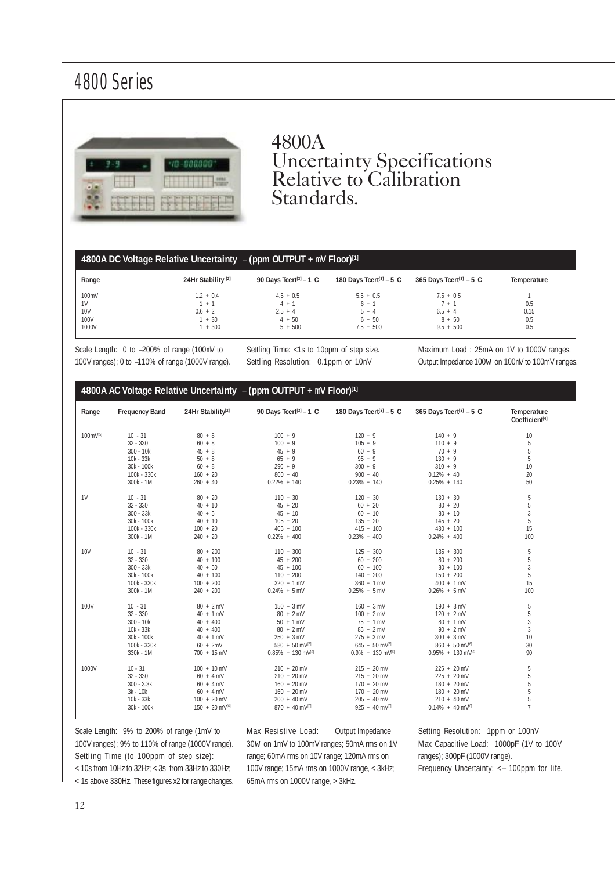

# 4800A Uncertainty Specifications Relative to Calibration Standards.

# **4800A DC Voltage Relative Uncertainty** – **(ppm OUTPUT +** m**V Floor)[1]**

| Range | 24Hr Stability <sup>[2]</sup> | 90 Days Tcert <sup>[3]</sup> - 1 C | 180 Days Tcert <sup>[3]</sup> $-5$ C | 365 Days Tcert <sup>[3]</sup> $-5$ C | Temperature |
|-------|-------------------------------|------------------------------------|--------------------------------------|--------------------------------------|-------------|
| 100mV | $1.2 + 0.4$                   | $4.5 + 0.5$                        | $5.5 + 0.5$                          | $7.5 + 0.5$                          |             |
| 1V    | $+$                           | $4 + 1$                            | 6 + 1                                | / + 1                                | 0.5         |
| 10V   | $0.6 + 2$                     | $2.5 + 4$                          | $5 + 4$                              | $6.5 + 4$                            | 0.15        |
| 100V  | $+30$                         | $4 + 50$                           | $6 + 50$                             | $8 + 50$                             | 0.5         |
| 1000V | $+300$                        | $5 + 500$                          | $7.5 + 500$                          | $9.5 + 500$                          | 0.5         |

Scale Length: 0 to –200% of range (100mV to 100V ranges); 0 to –110% of range (1000V range). Settling Time: <1s to 10ppm of step size. Settling Resolution: 0.1ppm or 10nV

Maximum Load : 25mA on 1V to 1000V ranges. Output Impedance 100W on 100mV to 100mV ranges.

# **4800A AC Voltage Relative Uncertainty** – **(ppm OUTPUT +** m**V Floor)[1]**

| Range                | <b>Frequency Band</b> | 24Hr Stability <sup>[2]</sup> | 90 Days Tcert <sup>[3]</sup> - 1 C | 180 Days Tcert <sup>[3]</sup> - 5 C | 365 Days Tcert <sup>[3]</sup> - 5 C | Temperature<br>Coefficient[4] |
|----------------------|-----------------------|-------------------------------|------------------------------------|-------------------------------------|-------------------------------------|-------------------------------|
| 100mV <sup>[5]</sup> | $10 - 31$             | $80 + 8$                      | $100 + 9$                          | $120 + 9$                           | $140 + 9$                           | 10                            |
|                      | $32 - 330$            | $60 + 8$                      | $100 + 9$                          | $105 + 9$                           | $110 + 9$                           | 5                             |
|                      | $300 - 10k$           | $45 + 8$                      | $45 + 9$                           | $60 + 9$                            | $70 + 9$                            | 5                             |
|                      | 10k - 33k             | $50 + 8$                      | $65 + 9$                           | $95 + 9$                            | $130 + 9$                           | 5                             |
|                      | 30k - 100k            | $60 + 8$                      | $290 + 9$                          | $300 + 9$                           | $310 + 9$                           | 10                            |
|                      | 100k - 330k           | $160 + 20$                    | $800 + 40$                         | $900 + 40$                          | $0.12\% + 40$                       | 20                            |
|                      | 300k - 1M             | $260 + 40$                    | $0.22\% + 140$                     | $0.23\% + 140$                      | $0.25\% + 140$                      | 50                            |
| 1V                   | $10 - 31$             | $80 + 20$                     | $110 + 30$                         | $120 + 30$                          | $130 + 30$                          | 5                             |
|                      | $32 - 330$            | $40 + 10$                     | $45 + 20$                          | $60 + 20$                           | $80 + 20$                           | 5                             |
|                      | $300 - 33k$           | $40 + 5$                      | $45 + 10$                          | $60 + 10$                           | $80 + 10$                           | $\overline{3}$                |
|                      | 30k - 100k            | $40 + 10$                     | $105 + 20$                         | $135 + 20$                          | $145 + 20$                          | 5                             |
|                      | 100k - 330k           | $100 + 20$                    | $405 + 100$                        | $415 + 100$                         | $430 + 100$                         | 15                            |
|                      | 300k - 1M             | $240 + 20$                    | $0.22\% + 400$                     | $0.23\% + 400$                      | $0.24\% + 400$                      | 100                           |
| <b>10V</b>           | $10 - 31$             | $80 + 200$                    | $110 + 300$                        | $125 + 300$                         | $135 + 300$                         | 5                             |
|                      | $32 - 330$            | $40 + 100$                    | $45 + 200$                         | $60 + 200$                          | $80 + 200$                          | 5                             |
|                      | $300 - 33k$           | $40 + 50$                     | $45 + 100$                         | $60 + 100$                          | $80 + 100$                          | 3                             |
|                      | 30k - 100k            | $40 + 100$                    | $110 + 200$                        | $140 + 200$                         | $150 + 200$                         | 5                             |
|                      | 100k - 330k           | $100 + 200$                   | $320 + 1$ mV                       | $360 + 1$ mV                        | $400 + 1$ mV                        | 15                            |
|                      | $300k - 1M$           | $240 + 200$                   | $0.24\% + 5$ mV                    | $0.25\% + 5$ mV                     | $0.26\% + 5$ mV                     | 100                           |
| 100V                 | $10 - 31$             | $80 + 2$ mV                   | $150 + 3$ mV                       | $160 + 3$ mV                        | $190 + 3$ mV                        | 5                             |
|                      | $32 - 330$            | $40 + 1$ mV                   | $80 + 2$ mV                        | $100 + 2$ mV                        | $120 + 2$ mV                        | 5                             |
|                      | $300 - 10k$           | $40 + 400$                    | $50 + 1$ mV                        | $75 + 1$ mV                         | $80 + 1 mV$                         | 3                             |
|                      | $10k - 33k$           | $40 + 400$                    | $80 + 2$ mV                        | $85 + 2$ mV                         | $90 + 2$ mV                         | 3                             |
|                      | 30k - 100k            | $40 + 1$ mV                   | $250 + 3 mV$                       | $275 + 3$ mV                        | $300 + 3$ mV                        | 10                            |
|                      | 100k - 330k           | $60 + 2mV$                    | $580 + 50$ mV <sup>[6]</sup>       | $645 + 50$ mV <sup>(6)</sup>        | $860 + 50$ mV <sup>(6)</sup>        | 30                            |
|                      | 330k - 1M             | 700 + 15 mV                   | $0.85\% + 130$ mV <sup>[6]</sup>   | $0.9\% + 130$ mV <sup>[6]</sup>     | $0.95\% + 130$ mV <sup>[6]</sup>    | 90                            |
| 1000V                | $10 - 31$             | $100 + 10$ mV                 | $210 + 20$ mV                      | $215 + 20$ mV                       | 225 + 20 mV                         | 5                             |
|                      | $32 - 330$            | $60 + 4$ mV                   | $210 + 20$ mV                      | $215 + 20$ mV                       | $225 + 20$ mV                       | 5                             |
|                      | $300 - 3.3k$          | $60 + 4$ mV                   | $160 + 20$ mV                      | $170 + 20$ mV                       | $180 + 20$ mV                       | 5                             |
|                      | 3k - 10k              | $60 + 4$ mV                   | $160 + 20$ mV                      | $170 + 20$ mV                       | 180 + 20 mV                         | 5                             |
|                      | 10k - 33k             | $100 + 20$ mV                 | $200 + 40$ mV                      | $205 + 40$ mV                       | $210 + 40$ mV                       | 5                             |
|                      | 30k - 100k            | 150 + 20 mV(6)                | 870 + 40 mV(6)                     | 925 + 40 mV <sup>(6)</sup>          | $0.14\% + 40$ mV <sup>(6)</sup>     | $\overline{7}$                |

Scale Length: 9% to 200% of range (1mV to 100V ranges); 9% to 110% of range (1000V range). Settling Time (to 100ppm of step size): < 10s from 10Hz to 32Hz; < 3s from 33Hz to 330Hz;

Max Resistive Load: Output Impedance 30W on 1mV to 100mV ranges; 50mA rms on 1V range; 60mA rms on 10V range; 120mA rms on 100V range; 15mA rms on 1000V range, < 3kHz; 65mA rms on 1000V range, > 3kHz.

Setting Resolution: 1ppm or 100nV Max Capacitive Load: 1000pF (1V to 100V ranges); 300pF (1000V range). Frequency Uncertainty: <– 100ppm for life.

< 1s above 330Hz. These figures x2 for range changes.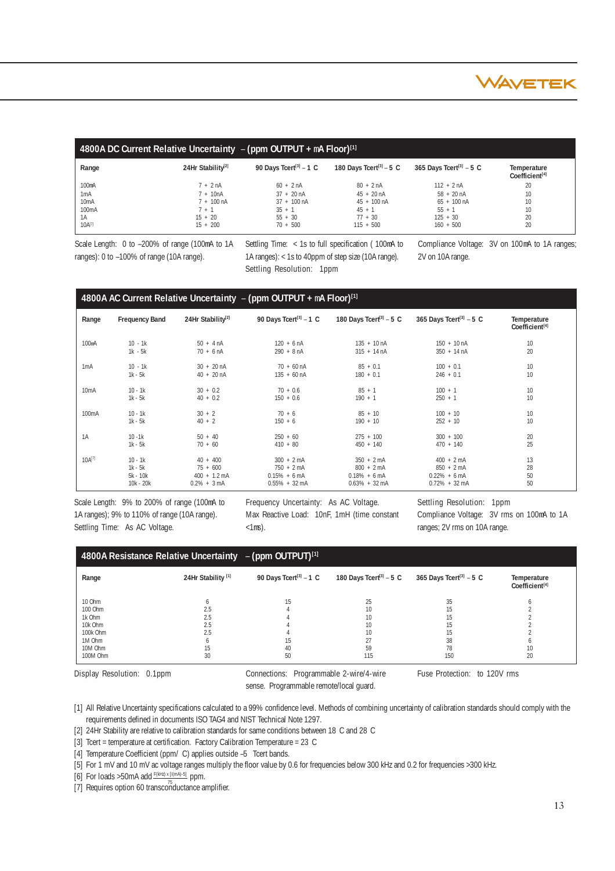

|                   | 4800A DC Current Relative Uncertainty $-$ (ppm OUTPUT + $mA$ Floor) <sup>[1]</sup> |                                    |                                     |                                      |                                           |  |  |  |  |
|-------------------|------------------------------------------------------------------------------------|------------------------------------|-------------------------------------|--------------------------------------|-------------------------------------------|--|--|--|--|
| Range             | 24Hr Stability <sup>[2]</sup>                                                      | 90 Days Tcert <sup>[3]</sup> - 1 C | 180 Days Tcert <sup>[3]</sup> - 5 C | 365 Days Tcert <sup>[3]</sup> $-5$ C | Temperature<br>Coefficient <sup>[4]</sup> |  |  |  |  |
| 100mA             | $7 + 2 nA$                                                                         | $60 + 2nA$                         | $80 + 2 nA$                         | $112 + 2nA$                          | 20                                        |  |  |  |  |
| 1mA               | $7 + 10nA$                                                                         | $37 + 20 \text{ nA}$               | $45 + 20 \text{ nA}$                | $58 + 20 \text{ nA}$                 | 10                                        |  |  |  |  |
| 10 <sub>m</sub> A | $7 + 100 \text{ nA}$                                                               | $37 + 100$ nA                      | $45 + 100$ nA                       | $65 + 100$ nA                        | 10                                        |  |  |  |  |
| 100mA             | $1 + 1$                                                                            | $35 + 1$                           | $45 + 1$                            | $55 + 1$                             | 10                                        |  |  |  |  |
| 1A                | $15 + 20$                                                                          | $55 + 30$                          | $77 + 30$                           | $125 + 30$                           | 20                                        |  |  |  |  |
| $10A^{[7]}$       | $15 + 200$                                                                         | $70 + 500$                         | $115 + 500$                         | $160 + 500$                          | 20                                        |  |  |  |  |

Scale Length: 0 to –200% of range (100mA to 1A ranges): 0 to –100% of range (10A range).

Settling Time: < 1s to full specification ( 100mA to 1A ranges): < 1s to 40ppm of step size (10A range). Settling Resolution: 1ppm

Compliance Voltage: 3V on 100mA to 1A ranges; 2V on 10A range.

|                    |                       |                               | 4800A AC Current Relative Uncertainty $-$ (ppm OUTPUT + mA Floor) <sup>[1]</sup> |                                     |                                      |                                           |
|--------------------|-----------------------|-------------------------------|----------------------------------------------------------------------------------|-------------------------------------|--------------------------------------|-------------------------------------------|
| Range              | <b>Frequency Band</b> | 24Hr Stability <sup>[2]</sup> | 90 Days Tcert <sup>[3]</sup> - 1 C                                               | 180 Days Tcert <sup>[3]</sup> - 5 C | 365 Days Tcert <sup>[3]</sup> $-5$ C | Temperature<br>Coefficient <sup>[4]</sup> |
| 100 <sub>m</sub> A | $10 - 1k$             | $50 + 4 nA$                   | $120 + 6$ nA                                                                     | $135 + 10 \text{ nA}$               | $150 + 10 \text{ nA}$                | 10                                        |
|                    | $1k - 5k$             | $70 + 6$ nA                   | $290 + 8 \text{ nA}$                                                             | $315 + 14 nA$                       | $350 + 14$ nA                        | 20                                        |
| 1 <sub>m</sub> A   | $10 - 1k$             | $30 + 20$ nA                  | $70 + 60$ nA                                                                     | $85 + 0.1$                          | $100 + 0.1$                          | 10                                        |
|                    | $1k - 5k$             | $40 + 20 \text{ nA}$          | $135 + 60$ nA                                                                    | $180 + 0.1$                         | $246 + 0.1$                          | 10                                        |
| 10mA               | $10 - 1k$             | $30 + 0.2$                    | $70 + 0.6$                                                                       | $85 + 1$                            | $100 + 1$                            | 10                                        |
|                    | $1k - 5k$             | $40 + 0.2$                    | $150 + 0.6$                                                                      | $190 + 1$                           | $250 + 1$                            | 10                                        |
| 100 <sub>m</sub> A | $10 - 1k$             | $30 + 2$                      | $70 + 6$                                                                         | $85 + 10$                           | $100 + 10$                           | 10                                        |
|                    | $1k - 5k$             | $40 + 2$                      | $150 + 6$                                                                        | $190 + 10$                          | $252 + 10$                           | 10                                        |
| 1A                 | $10 - 1k$             | $50 + 40$                     | $250 + 60$                                                                       | $275 + 100$                         | $300 + 100$                          | 20                                        |
|                    | $1k - 5k$             | $70 + 60$                     | $410 + 80$                                                                       | $450 + 140$                         | $470 + 140$                          | 25                                        |
| $10A^{[7]}$        | $10 - 1k$             | $40 + 400$                    | $300 + 2 mA$                                                                     | $350 + 2 \text{ mA}$                | $400 + 2 mA$                         | 13                                        |
|                    | $1k - 5k$             | $75 + 600$                    | $750 + 2 \text{ mA}$                                                             | $800 + 2 mA$                        | $850 + 2 mA$                         | 28                                        |
|                    | $5k - 10k$            | $400 + 1.2 \text{ mA}$        | $0.15% + 6mA$                                                                    | $0.18\% + 6 \text{ mA}$             | $0.22\% + 6$ mA                      | 50                                        |
|                    | 10k - 20k             | $0.2\% + 3 mA$                | $0.55\% + 32 \text{ mA}$                                                         | $0.63\% + 32 \text{ mA}$            | $0.72\% + 32 \text{ mA}$             | 50                                        |

Scale Length: 9% to 200% of range (100mA to 1A ranges); 9% to 110% of range (10A range). Settling Time: As AC Voltage.

Frequency Uncertainty: As AC Voltage. Max Reactive Load: 10nF, 1mH (time constant  $<1$ ms).

Settling Resolution: 1ppm Compliance Voltage: 3V rms on 100mA to 1A ranges; 2V rms on 10A range.

|          | 4800A Resistance Relative Uncertainty $-$ (ppm OUTPUT) <sup>[1]</sup> |                                     |                                      |                                      |                                           |  |  |  |  |  |
|----------|-----------------------------------------------------------------------|-------------------------------------|--------------------------------------|--------------------------------------|-------------------------------------------|--|--|--|--|--|
| Range    | 24Hr Stability <sup>[1]</sup>                                         | 90 Days Tcert <sup>[3]</sup> $-1$ C | 180 Days Tcert <sup>[3]</sup> $-5$ C | 365 Days Tcert <sup>[3]</sup> $-5$ C | Temperature<br>Coefficient <sup>[4]</sup> |  |  |  |  |  |
| 10 Ohm   |                                                                       |                                     |                                      | 35                                   |                                           |  |  |  |  |  |
| 100 Ohm  |                                                                       |                                     |                                      |                                      |                                           |  |  |  |  |  |
| 1k Ohm   |                                                                       |                                     |                                      |                                      |                                           |  |  |  |  |  |
| 10k Ohm  |                                                                       |                                     |                                      |                                      |                                           |  |  |  |  |  |
| 100k Ohm |                                                                       |                                     |                                      |                                      |                                           |  |  |  |  |  |
| 1M Ohm   |                                                                       |                                     |                                      | 38                                   |                                           |  |  |  |  |  |
| 10M Ohm  |                                                                       |                                     | 59                                   | 78                                   |                                           |  |  |  |  |  |
| 100M Ohm | 30                                                                    | 50                                  | 115                                  | 150                                  | 20                                        |  |  |  |  |  |

Display Resolution: 0.1ppm Connections: Programmable 2-wire/4-wire sense. Programmable remote/local guard.

Fuse Protection: to 120V rms

[1] All Relative Uncertainty specifications calculated to a 99% confidence level. Methods of combining uncertainty of calibration standards should comply with the requirements defined in documents ISO TAG4 and NIST Technical Note 1297.

[2] 24Hr Stability are relative to calibration standards for same conditions between 18 C and 28 C

[3] Tcert = temperature at certification. Factory Calibration Temperature = 23 C

[4] Temperature Coefficient (ppm/ C) applies outside -5 Tcert bands.

[5] For 1 mV and 10 mV ac voltage ranges multiply the floor value by 0.6 for frequencies below 300 kHz and 0.2 for frequencies >300 kHz.

[6] For loads > 50mA add  $F(kHz) \times [1/(mA)-5]$  ppm.

<sup>75</sup><br>[7] Requires option 60 transconductance amplifier.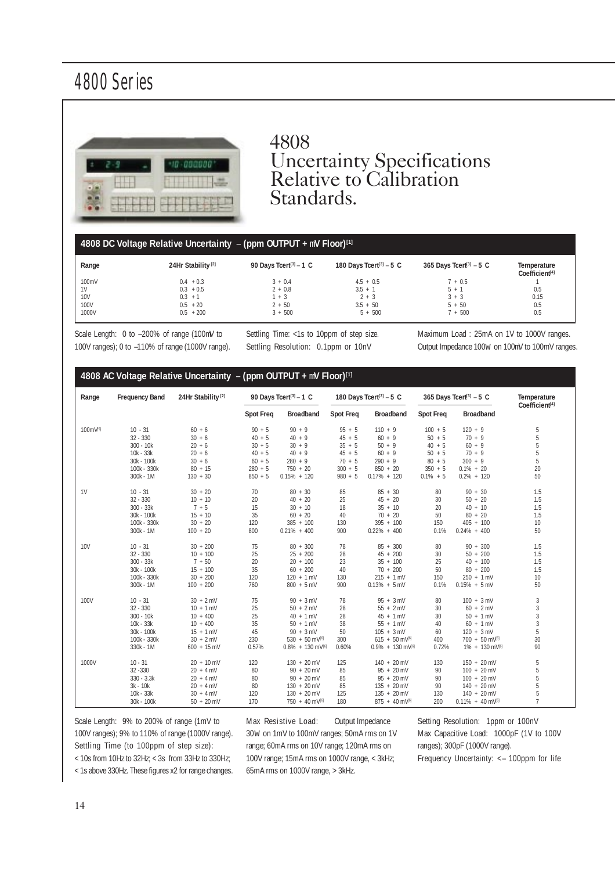

# 4808 Uncertainty Specifications Relative to Calibration Standards.

### **4808 DC Voltage Relative Uncertainty** – **(ppm OUTPUT +** m**V Floor)[1]**

| Range      | 24Hr Stability <sup>[2]</sup> | 90 Days Tcert <sup>[3]</sup> - 1 C | 180 Days Tcert <sup>[3]</sup> $-5$ C | 365 Days Tcert <sup>[3]</sup> $-5$ C | Temperature<br>Coefficient <sup>[4]</sup> |
|------------|-------------------------------|------------------------------------|--------------------------------------|--------------------------------------|-------------------------------------------|
| 100mV      | $0.4 + 0.3$                   | $3 + 0.4$                          | $4.5 + 0.5$                          | $7 + 0.5$                            |                                           |
| 1V         | $0.3 + 0.5$                   | $2 + 0.8$                          | $3.5 + 1$                            | $b + 1$                              | 0.5                                       |
| <b>10V</b> | $0.3 + 1$                     | $1 + 3$                            | $2 + 3$                              | $3 + 3$                              | 0.15                                      |
| 100V       | $0.5 + 20$                    | $2 + 50$                           | $3.5 + 50$                           | $5 + 50$                             | 0.5                                       |
| 1000V      | $0.5 + 200$                   | $3 + 500$                          | $5 + 500$                            | $7 + 500$                            | 0.5                                       |

Scale Length: 0 to –200% of range (100mV to 100V ranges); 0 to –110% of range (1000V range). Settling Time: <1s to 10ppm of step size. Settling Resolution: 0.1ppm or 10nV

Maximum Load : 25mA on 1V to 1000V ranges. Output Impedance 100W on 100mV to 100mV ranges.

| Range          | <b>Frequency Band</b> | 24Hr Stability <sup>[2]</sup> |                  | 90 Days Tcert <sup>[3]</sup> - 1 C |                  | 180 Days Tcert <sup>[3]</sup> - 5 C | 365 Days Tcert <sup>[3]</sup> - 5 C |                                 | Temperature    |
|----------------|-----------------------|-------------------------------|------------------|------------------------------------|------------------|-------------------------------------|-------------------------------------|---------------------------------|----------------|
|                |                       |                               | <b>Spot Freq</b> | Broadband                          | <b>Spot Freq</b> | <b>Broadband</b>                    | <b>Spot Freq</b>                    | <b>Broadband</b>                | Coefficient[4] |
| 100mV[5]       | $10 - 31$             | $60 + 6$                      | $90 + 5$         | $90 + 9$                           | $95 + 5$         | $110 + 9$                           | $100 + 5$                           | $120 + 9$                       | 5              |
|                | $32 - 330$            | $30 + 6$                      | $40 + 5$         | $40 + 9$                           | $45 + 5$         | $60 + 9$                            | $50 + 5$                            | $70 + 9$                        | 5              |
|                | $300 - 10k$           | $20 + 6$                      | $30 + 5$         | $30 + 9$                           | $35 + 5$         | $50 + 9$                            | $40 + 5$                            | $60 + 9$                        | 5              |
|                | $10k - 33k$           | $20 + 6$                      | $40 + 5$         | $40 + 9$                           | $45 + 5$         | $60 + 9$                            | $50 + 5$                            | $70 + 9$                        | 5              |
|                | 30k - 100k            | $30 + 6$                      | $60 + 5$         | $280 + 9$                          | $70 + 5$         | $290 + 9$                           | $80 + 5$                            | $300 + 9$                       | 5              |
|                | 100k - 330k           | $80 + 15$                     | $280 + 5$        | $750 + 20$                         | $300 + 5$        | $850 + 20$                          | $350 + 5$                           | $0.1\% + 20$                    | 20             |
|                | 300k - 1M             | $130 + 30$                    | $850 + 5$        | $0.15\% + 120$                     | $980 + 5$        | $0.17\% + 120$                      | $0.1\% + 5$                         | $0.2\% + 120$                   | 50             |
| 1 <sup>V</sup> | $10 - 31$             | $30 + 20$                     | 70               | $80 + 30$                          | 85               | $85 + 30$                           | 80                                  | $90 + 30$                       | 1.5            |
|                | $32 - 330$            | $10 + 10$                     | 20               | $40 + 20$                          | 25               | $45 + 20$                           | 30                                  | $50 + 20$                       | 1.5            |
|                | $300 - 33k$           | $7 + 5$                       | 15               | $30 + 10$                          | 18               | $35 + 10$                           | 20                                  | $40 + 10$                       | 1.5            |
|                | 30k - 100k            | $15 + 10$                     | 35               | $60 + 20$                          | 40               | $70 + 20$                           | 50                                  | $80 + 20$                       | 1.5            |
|                | 100k - 330k           | $30 + 20$                     | 120              | $385 + 100$                        | 130              | $395 + 100$                         | 150                                 | $405 + 100$                     | 10             |
|                | 300k - 1M             | $100 + 20$                    | 800              | $0.21\% + 400$                     | 900              | $0.22\% + 400$                      | 0.1%                                | $0.24\% + 400$                  | 50             |
| <b>10V</b>     | $10 - 31$             | $30 + 200$                    | 75               | $80 + 300$                         | 78               | $85 + 300$                          | 80                                  | $90 + 300$                      | 1.5            |
|                | $32 - 330$            | $10 + 100$                    | 25               | $25 + 200$                         | 28               | $45 + 200$                          | 30                                  | $50 + 200$                      | 1.5            |
|                | $300 - 33k$           | $7 + 50$                      | 20               | $20 + 100$                         | 23               | $35 + 100$                          | 25                                  | $40 + 100$                      | 1.5            |
|                | 30k - 100k            | $15 + 100$                    | 35               | $60 + 200$                         | 40               | $70 + 200$                          | 50                                  | $80 + 200$                      | 1.5            |
|                | 100k - 330k           | $30 + 200$                    | 120              | $120 + 1$ mV                       | 130              | $215 + 1$ mV                        | 150                                 | $250 + 1$ mV                    | 10             |
|                | 300k - 1M             | $100 + 200$                   | 760              | $800 + 5$ mV                       | 900              | $0.13\% + 5$ mV                     | 0.1%                                | $0.15\% + 5$ mV                 | 50             |
| 100V           | $10 - 31$             | $30 + 2$ mV                   | 75               | $90 + 3$ mV                        | 78               | $95 + 3$ mV                         | 80                                  | $100 + 3$ mV                    | $\mathfrak{Z}$ |
|                | $32 - 330$            | $10 + 1$ mV                   | 25               | $50 + 2$ mV                        | 28               | $55 + 2 mV$                         | 30                                  | $60 + 2$ mV                     | $\sqrt{3}$     |
|                | $300 - 10k$           | $10 + 400$                    | 25               | $40 + 1$ mV                        | 28               | $45 + 1$ mV                         | 30                                  | $50 + 1 mV$                     | $\sqrt{3}$     |
|                | 10k - 33k             | $10 + 400$                    | 35               | $50 + 1$ mV                        | 38               | $55 + 1$ mV                         | 40                                  | $60 + 1$ mV                     | $\overline{3}$ |
|                | 30k - 100k            | $15 + 1$ mV                   | 45               | $90 + 3$ mV                        | 50               | $105 + 3$ mV                        | 60                                  | $120 + 3$ mV                    | 5              |
|                | 100k - 330k           | $30 + 2$ mV                   | 230              | 530 + 50 mV(6)                     | 300              | $615 + 50$ mV <sup>(6)</sup>        | 400                                 | 700 + 50 mV(6)                  | 30             |
|                | 330k - 1M             | $600 + 15$ mV                 | 0.57%            | $0.8\% + 130$ mV <sup>[6]</sup>    | 0.60%            | $0.9\% + 130$ mV <sup>[6]</sup>     | 0.72%                               | 1% + 130 mV[6]                  | 90             |
| 1000V          | $10 - 31$             | $20 + 10$ mV                  | 120              | $130 + 20$ mV                      | 125              | $140 + 20$ mV                       | 130                                 | 150 + 20 mV                     | 5              |
|                | $32 - 330$            | $20 + 4$ mV                   | 80               | $90 + 20$ mV                       | 85               | $95 + 20$ mV                        | 90                                  | $100 + 20$ mV                   | 5              |
|                | $330 - 3.3k$          | $20 + 4$ mV                   | 80               | $90 + 20$ mV                       | 85               | 95 + 20 mV                          | 90                                  | $100 + 20$ mV                   | 5              |
|                | 3k - 10k              | $20 + 4$ mV                   | 80               | $130 + 20$ mV                      | 85               | $135 + 20$ mV                       | 90                                  | $140 + 20$ mV                   | 5              |
|                | 10k - 33k             | $30 + 4 mV$                   | 120              | $130 + 20$ mV                      | 125              | $135 + 20$ mV                       | 130                                 | 140 + 20 mV                     | $5\,$          |
|                | 30k - 100k            | $50 + 20$ mV                  | 170              | 750 + 40 mV(6)                     | 180              | 875 + 40 mV(6)                      | 200                                 | $0.11\% + 40$ mV <sup>[6]</sup> | $\overline{7}$ |

Scale Length: 9% to 200% of range (1mV to 100V ranges); 9% to 110% of range (1000V range). Settling Time (to 100ppm of step size): < 10s from 10Hz to 32Hz; < 3s from 33Hz to 330Hz;

Max Resistive Load: Output Impedance 30W on 1mV to 100mV ranges; 50mA rms on 1V range; 60mA rms on 10V range; 120mA rms on 100V range; 15mA rms on 1000V range, < 3kHz; 65mA rms on 1000V range, > 3kHz.

Setting Resolution: 1ppm or 100nV Max Capacitive Load: 1000pF (1V to 100V ranges); 300pF (1000V range). Frequency Uncertainty: <– 100ppm for life

< 1s above 330Hz. These figures x2 for range changes.

14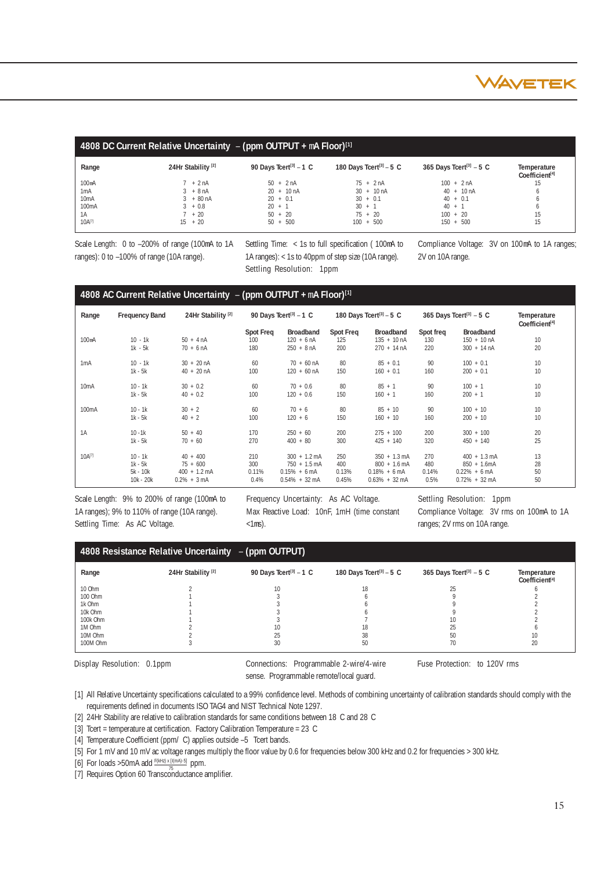

|                    | 4808 DC Current Relative Uncertainty $-$ (ppm OUTPUT + mA Floor) <sup>[1]</sup> |                                     |                                     |                                      |                                           |  |  |  |  |
|--------------------|---------------------------------------------------------------------------------|-------------------------------------|-------------------------------------|--------------------------------------|-------------------------------------------|--|--|--|--|
| Range              | 24Hr Stability <sup>[2]</sup>                                                   | 90 Days Tcert <sup>[3]</sup> $-1$ C | 180 Days Tcert <sup>[3]</sup> - 5 C | 365 Days Tcert <sup>[3]</sup> $-5$ C | Temperature<br>Coefficient <sup>[4]</sup> |  |  |  |  |
| 100 <sub>m</sub> A | $7 + 2 nA$                                                                      | $50 + 2nA$                          | $75 + 2nA$                          | $100 + 2 nA$                         | 15                                        |  |  |  |  |
| 1mA                | $3 + 8nA$                                                                       | $20 + 10 \text{ nA}$                | $30 + 10 \text{ nA}$                | $40 + 10 \text{ nA}$                 |                                           |  |  |  |  |
| 10 <sub>m</sub> A  | $3 + 80 \text{ nA}$                                                             | $20 + 0.1$                          | $30 + 0.1$                          | $40 + 0.1$                           |                                           |  |  |  |  |
| 100 <sub>m</sub> A | $3 + 0.8$                                                                       | $20 + 1$                            | $30 + 1$                            | $40 + 1$                             |                                           |  |  |  |  |
| 1A                 | $7 + 20$                                                                        | $50 + 20$                           | $75 + 20$                           | $100 + 20$                           | 15                                        |  |  |  |  |
| $10A^{[7]}$        | $15 + 20$                                                                       | $50 + 500$                          | $100 + 500$                         | $150 + 500$                          | 15                                        |  |  |  |  |

Scale Length: 0 to –200% of range (100mA to 1A ranges): 0 to –100% of range (10A range).

Settling Time: < 1s to full specification ( 100mA to 1A ranges): < 1s to 40ppm of step size (10A range). Settling Resolution: 1ppm

Compliance Voltage: 3V on 100mA to 1A ranges; 2V on 10A range.

#### **4808 AC Current Relative Uncertainty** – **(ppm OUTPUT +** m**A Floor)[1]**

| Range              | <b>Frequency Band</b>  | 24Hr Stability <sup>[2]</sup> |                                | 90 Days Tcert <sup>[3]</sup> $-1$ C              |                         | 180 Days Tcert <sup>[3]</sup> - 5 C                        |                         | 365 Days Tcert <sup>[3]</sup> $-5$ C                       | Temperature<br>Coefficient[4] |
|--------------------|------------------------|-------------------------------|--------------------------------|--------------------------------------------------|-------------------------|------------------------------------------------------------|-------------------------|------------------------------------------------------------|-------------------------------|
| 100 <sub>m</sub> A | $10 - 1k$<br>$1k - 5k$ | $50 + 4 nA$<br>$70 + 6$ nA    | <b>Spot Freq</b><br>100<br>180 | <b>Broadband</b><br>$120 + 6$ nA<br>$250 + 8 nA$ | Spot Freq<br>125<br>200 | <b>Broadband</b><br>$135 + 10 \text{ nA}$<br>$270 + 14 nA$ | Spot freq<br>130<br>220 | <b>Broadband</b><br>$150 + 10 \text{ nA}$<br>$300 + 14 nA$ | 10<br>20                      |
| 1mA                | $10 - 1k$              | $30 + 20 \text{ nA}$          | 60                             | $70 + 60$ nA                                     | 80                      | $85 + 0.1$                                                 | 90                      | $100 + 0.1$                                                | 10                            |
|                    | $1k - 5k$              | $40 + 20$ nA                  | 100                            | $120 + 60$ nA                                    | 150                     | $160 + 0.1$                                                | 160                     | $200 + 0.1$                                                | 10                            |
| 10 <sub>m</sub> A  | $10 - 1k$              | $30 + 0.2$                    | 60                             | $70 + 0.6$                                       | 80                      | $85 + 1$                                                   | 90                      | $100 + 1$                                                  | 10                            |
|                    | $1k - 5k$              | $40 + 0.2$                    | 100                            | $120 + 0.6$                                      | 150                     | $160 + 1$                                                  | 160                     | $200 + 1$                                                  | 10                            |
| 100 <sub>m</sub> A | $10 - 1k$              | $30 + 2$                      | 60                             | $70 + 6$                                         | 80                      | $85 + 10$                                                  | 90                      | $100 + 10$                                                 | 10                            |
|                    | $1k - 5k$              | $40 + 2$                      | 100                            | $120 + 6$                                        | 150                     | $160 + 10$                                                 | 160                     | $200 + 10$                                                 | 10                            |
| 1A                 | $10 - 1k$              | $50 + 40$                     | 170                            | $250 + 60$                                       | 200                     | $275 + 100$                                                | 200                     | $300 + 100$                                                | 20                            |
|                    | $1k - 5k$              | $70 + 60$                     | 270                            | $400 + 80$                                       | 300                     | $425 + 140$                                                | 320                     | $450 + 140$                                                | 25                            |
| $10A^{[7]}$        | $10 - 1k$              | $40 + 400$                    | 210                            | $300 + 1.2$ mA                                   | 250                     | $350 + 1.3$ mA                                             | 270                     | $400 + 1.3$ mA                                             | 13                            |
|                    | $1k - 5k$              | $75 + 600$                    | 300                            | $750 + 1.5$ mA                                   | 400                     | $800 + 1.6$ mA                                             | 480                     | $850 + 1.6$ mA                                             | 28                            |
|                    | $5k - 10k$             | $400 + 1.2$ mA                | 0.11%                          | $0.15% + 6mA$                                    | 0.13%                   | $0.18\% + 6 \text{ mA}$                                    | 0.14%                   | $0.22\% + 6$ mA                                            | 50                            |
|                    | 10k - 20k              | $0.2\% + 3 \text{ mA}$        | 0.4%                           | $0.54\% + 32 \text{ mA}$                         | 0.45%                   | $0.63\% + 32 \text{ mA}$                                   | 0.5%                    | $0.72\% + 32 \text{ mA}$                                   | 50                            |

Scale Length: 9% to 200% of range (100mA to 1A ranges); 9% to 110% of range (10A range). Settling Time: As AC Voltage.

Frequency Uncertainty: As AC Voltage. Max Reactive Load: 10nF, 1mH (time constant  $<1$ ms).

Settling Resolution: 1ppm Compliance Voltage: 3V rms on 100mA to 1A ranges; 2V rms on 10A range.

| 4808 Resistance Relative Uncertainty $-$ (ppm OUTPUT) |                               |                                    |                                     |                                      |                                           |  |  |
|-------------------------------------------------------|-------------------------------|------------------------------------|-------------------------------------|--------------------------------------|-------------------------------------------|--|--|
| Range                                                 | 24Hr Stability <sup>[2]</sup> | 90 Days Tcert <sup>[3]</sup> – 1 C | 180 Days Tcert <sup>[3]</sup> - 5 C | 365 Days Tcert <sup>[3]</sup> $-5$ C | Temperature<br>Coefficient <sup>[4]</sup> |  |  |
| 10 Ohm                                                |                               | 10                                 |                                     |                                      |                                           |  |  |
| 100 Ohm                                               |                               |                                    |                                     |                                      |                                           |  |  |
| 1k Ohm                                                |                               |                                    |                                     |                                      |                                           |  |  |
| 10k Ohm                                               |                               |                                    |                                     |                                      |                                           |  |  |
| 100k Ohm                                              |                               |                                    |                                     |                                      |                                           |  |  |
| 1M Ohm                                                |                               |                                    |                                     |                                      |                                           |  |  |
| 10M Ohm                                               |                               | 25                                 |                                     | 50                                   |                                           |  |  |
| 100M Ohm                                              |                               | 30                                 | 50                                  | 70                                   | 20                                        |  |  |

Display Resolution: 0.1ppm Connections: Programmable 2-wire/4-wire Fuse Protection: to 120V rms sense. Programmable remote/local guard.

[1] All Relative Uncertainty specifications calculated to a 99% confidence level. Methods of combining uncertainty of calibration standards should comply with the requirements defined in documents ISO TAG4 and NIST Technical Note 1297.

[2] 24Hr Stability are relative to calibration standards for same conditions between 18 C and 28 C

[3] Tcert = temperature at certification. Factory Calibration Temperature = 23 C

[4] Temperature Coefficient (ppm/ C) applies outside –5 Tcert bands.

[5] For 1 mV and 10 mV ac voltage ranges multiply the floor value by 0.6 for frequencies below 300 kHz and 0.2 for frequencies > 300 kHz.

[6] For loads > 50mA add  $F(kHz) \times I1(mA) - 5$ ] ppm.

[7] Requires Option 60 Transconductance amplifier.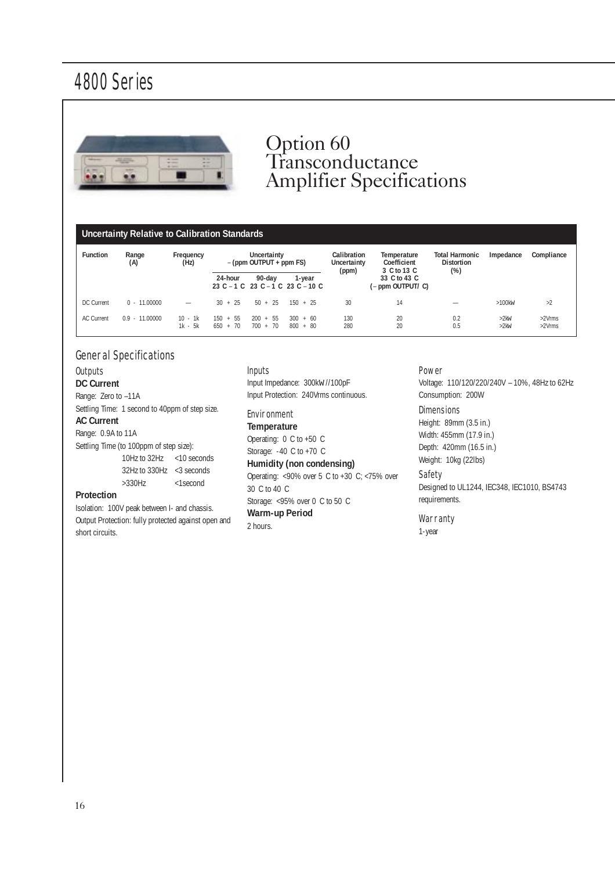

# Option 60 Transconductance Amplifier Specifications

### **Uncertainty Relative to Calibration Standards**

| <b>Function</b>   | Range<br>(A)     | Frequency<br>(Hz)      | Uncertainty<br>$-(ppm$ OUTPUT + ppm FS) |                          | Calibration<br>Uncertainty<br>(ppm)            | Temperature<br>Coefficient<br>3 C to 13 C | <b>Total Harmonic</b><br><b>Distortion</b><br>$(\%)$ | Impedance  | Compliance                         |                  |
|-------------------|------------------|------------------------|-----------------------------------------|--------------------------|------------------------------------------------|-------------------------------------------|------------------------------------------------------|------------|------------------------------------|------------------|
|                   |                  |                        | 24-hour                                 | 90-day                   | 1-year<br>23 C $-1$ C 23 C $-1$ C 23 C $-10$ C |                                           | 33 C to 43 C<br>(– ppm OUTPUT/ C)                    |            |                                    |                  |
| DC Current        | $0 - 11,00000$   |                        | $30 + 25$                               | $50 + 25$                | $150 + 25$                                     | 30                                        | 14                                                   |            | $>100$ kw                          | >2               |
| <b>AC Current</b> | $0.9 - 11.00000$ | $10 - 1k$<br>$1k - 5k$ | $150 + 55$<br>$650 + 70$                | $200 + 55$<br>$700 + 70$ | 300<br>$+60$<br>$800 + 80$                     | 130<br>280                                | 20<br>20                                             | 0.2<br>0.5 | $>2$ <sub>k</sub> $W$<br>$>2$ $km$ | >2Vrms<br>>2Vrms |

### General Specifications

### **Outputs**

# **DC Current**

Range: Zero to -11A Settling Time: 1 second to 40ppm of step size.

#### **AC Current**

Range: 0.9A to 11A

Settling Time (to 100ppm of step size): 10Hz to 32Hz <10 seconds 32Hz to 330Hz <3 seconds >330Hz <1second

#### **Protection**

Isolation: 100V peak between I- and chassis. Output Protection: fully protected against open and short circuits.

# Inputs

Input Impedance: 300kW //100pF Input Protection: 240Vrms continuous.

# Environment

**Temperature** Operating: 0 C to +50 C Storage: -40 C to +70 C **Humidity (non condensing)** Operating: <90% over 5 C to +30 C; <75% over 30 C to 40 C Storage: <95% over 0 C to 50 C **Warm-up Period** 2 hours.

#### Power

Voltage: 110/120/220/240V – 10%, 48Hz to 62Hz Consumption: 200W

### **Dimensions**

Height: 89mm (3.5 in.) Width: 455mm (17.9 in.) Depth: 420mm (16.5 in.) Weight: 10kg (22lbs)

#### Safety

Designed to UL1244, IEC348, IEC1010, BS4743 requirements.

#### **Warranty**

1-year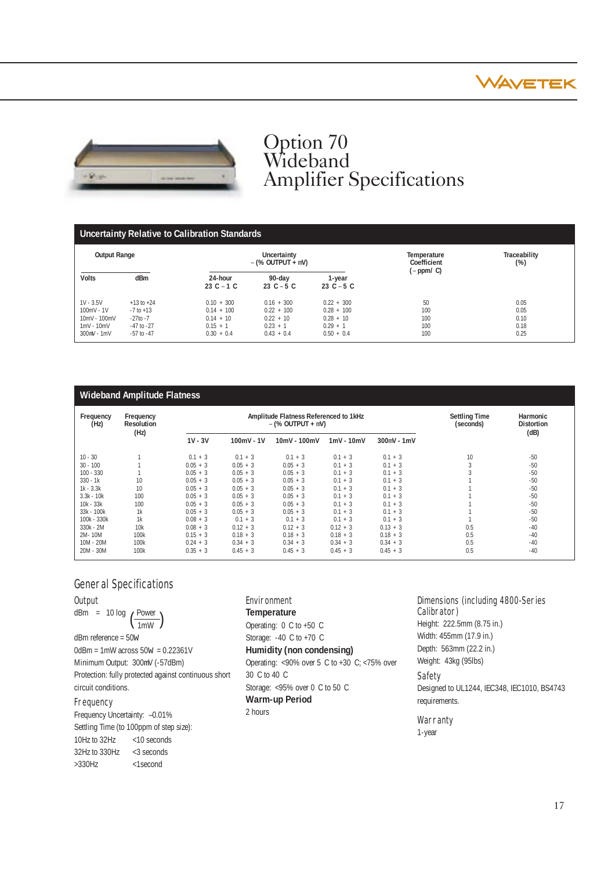



# Option 70 Wideband Amplifier Specifications

# **Uncertainty Relative to Calibration Standards**

| <b>Output Range</b>                                                          |                                                                                      |                                                                           | Uncertainty<br>$-(\%$ OUTPUT + mV)                                        |                                                                           | Traceability<br>Temperature<br>Coefficient<br>$(\%)$<br>$(-ppm/C)$ |                                      |  |
|------------------------------------------------------------------------------|--------------------------------------------------------------------------------------|---------------------------------------------------------------------------|---------------------------------------------------------------------------|---------------------------------------------------------------------------|--------------------------------------------------------------------|--------------------------------------|--|
| <b>Volts</b>                                                                 | dBm                                                                                  | 24-hour<br>$23C - 1C$                                                     | 90-day<br>23 $C - 5 C$                                                    | 1-year<br>23 $C - 5 C$                                                    |                                                                    |                                      |  |
| $1V - 3.5V$<br>$100mV - 1V$<br>10mV - 100mV<br>$1mV - 10mV$<br>$300mV - 1mV$ | $+13$ to $+24$<br>$-7$ to $+13$<br>$-27$ to $-7$<br>$-47$ to $-27$<br>$-57$ to $-47$ | $0.10 + 300$<br>$0.14 + 100$<br>$0.14 + 10$<br>$0.15 + 1$<br>$0.30 + 0.4$ | $0.16 + 300$<br>$0.22 + 100$<br>$0.22 + 10$<br>$0.23 + 1$<br>$0.43 + 0.4$ | $0.22 + 300$<br>$0.28 + 100$<br>$0.28 + 10$<br>$0.29 + 1$<br>$0.50 + 0.4$ | 50<br>100<br>100<br>100<br>100                                     | 0.05<br>0.05<br>0.10<br>0.18<br>0.25 |  |

| <b>Wideband Amplitude Flatness</b> |                                |                                                              |              |              |              |               |                                   |                               |
|------------------------------------|--------------------------------|--------------------------------------------------------------|--------------|--------------|--------------|---------------|-----------------------------------|-------------------------------|
| Frequency<br>(Hz)                  | Frequency<br><b>Resolution</b> | Amplitude Flatness Referenced to 1kHz<br>$-(\%$ OUTPUT + mV) |              |              |              |               | <b>Settling Time</b><br>(seconds) | Harmonic<br><b>Distortion</b> |
|                                    | (Hz)                           | $1V - 3V$                                                    | $100mV - 1V$ | 10mV - 100mV | $1mV - 10mV$ | $300mV - 1mV$ |                                   | (dB)                          |
| $10 - 30$                          |                                | $0.1 + 3$                                                    | $0.1 + 3$    | $0.1 + 3$    | $0.1 + 3$    | $0.1 + 3$     | 10                                | $-50$                         |
| $30 - 100$                         |                                | $0.05 + 3$                                                   | $0.05 + 3$   | $0.05 + 3$   | $0.1 + 3$    | $0.1 + 3$     |                                   | $-50$                         |
| $100 - 330$                        |                                | $0.05 + 3$                                                   | $0.05 + 3$   | $0.05 + 3$   | $0.1 + 3$    | $0.1 + 3$     |                                   | $-50$                         |
| $330 - 1k$                         | 10                             | $0.05 + 3$                                                   | $0.05 + 3$   | $0.05 + 3$   | $0.1 + 3$    | $0.1 + 3$     |                                   | $-50$                         |
| $1k - 3.3k$                        | 10                             | $0.05 + 3$                                                   | $0.05 + 3$   | $0.05 + 3$   | $0.1 + 3$    | $0.1 + 3$     |                                   | $-50$                         |
| $3.3k - 10k$                       | 100                            | $0.05 + 3$                                                   | $0.05 + 3$   | $0.05 + 3$   | $0.1 + 3$    | $0.1 + 3$     |                                   | $-50$                         |
| $10k - 33k$                        | 100                            | $0.05 + 3$                                                   | $0.05 + 3$   | $0.05 + 3$   | $0.1 + 3$    | $0.1 + 3$     |                                   | $-50$                         |
| 33k - 100k                         | 1k                             | $0.05 + 3$                                                   | $0.05 + 3$   | $0.05 + 3$   | $0.1 + 3$    | $0.1 + 3$     |                                   | $-50$                         |
| 100k - 330k                        | 1k                             | $0.08 + 3$                                                   | $0.1 + 3$    | $0.1 + 3$    | $0.1 + 3$    | $0.1 + 3$     |                                   | $-50$                         |
| $330k - 2M$                        | 10k                            | $0.08 + 3$                                                   | $0.12 + 3$   | $0.12 + 3$   | $0.12 + 3$   | $0.13 + 3$    | 0.5                               | $-40$                         |
| 2M-10M                             | 100k                           | $0.15 + 3$                                                   | $0.18 + 3$   | $0.18 + 3$   | $0.18 + 3$   | $0.18 + 3$    | 0.5                               | $-40$                         |
| $10M - 20M$                        | 100k                           | $0.24 + 3$                                                   | $0.34 + 3$   | $0.34 + 3$   | $0.34 + 3$   | $0.34 + 3$    | 0.5                               | $-40$                         |
| 20M - 30M                          | 100k                           | $0.35 + 3$                                                   | $0.45 + 3$   | $0.45 + 3$   | $0.45 + 3$   | $0.45 + 3$    | 0.5                               | $-40$                         |

# General Specifications

### **Output**

dBm = 10 log  $\left(\frac{\text{Power}}{\text{1mW}}\right)$ 

dBm reference = 50W  $0$ dBm = 1mW across  $50w = 0.22361V$ Minimum Output: 300mV (-57dBm) Protection: fully protected against continuous short circuit conditions.

### **Frequency**

Frequency Uncertainty: –0.01% Settling Time (to 100ppm of step size): 10Hz to 32Hz <10 seconds 32Hz to 330Hz <3 seconds >330Hz <1second

# Environment

**Temperature** Operating: 0 C to +50 C Storage: -40 C to +70 C

# **Humidity (non condensing)**

Operating: <90% over 5 C to +30 C; <75% over 30 C to 40 C Storage: <95% over 0 C to 50 C **Warm-up Period** 2 hours

### Dimensions (including 4800-Series Calibrator)

Height: 222.5mm (8.75 in.) Width: 455mm (17.9 in.) Depth: 563mm (22.2 in.) Weight: 43kg (95lbs)

### Safety

Designed to UL1244, IEC348, IEC1010, BS4743 requirements.

### **Warranty**

1-year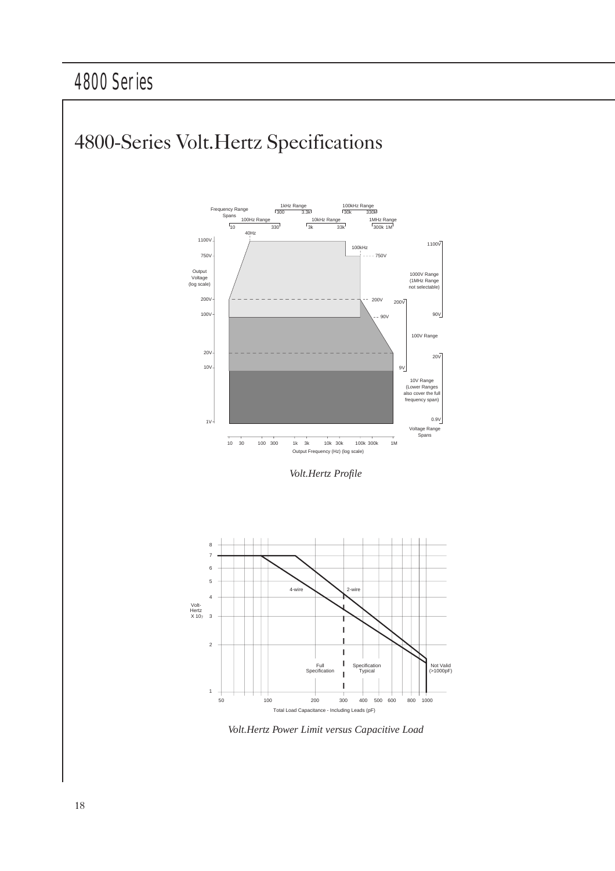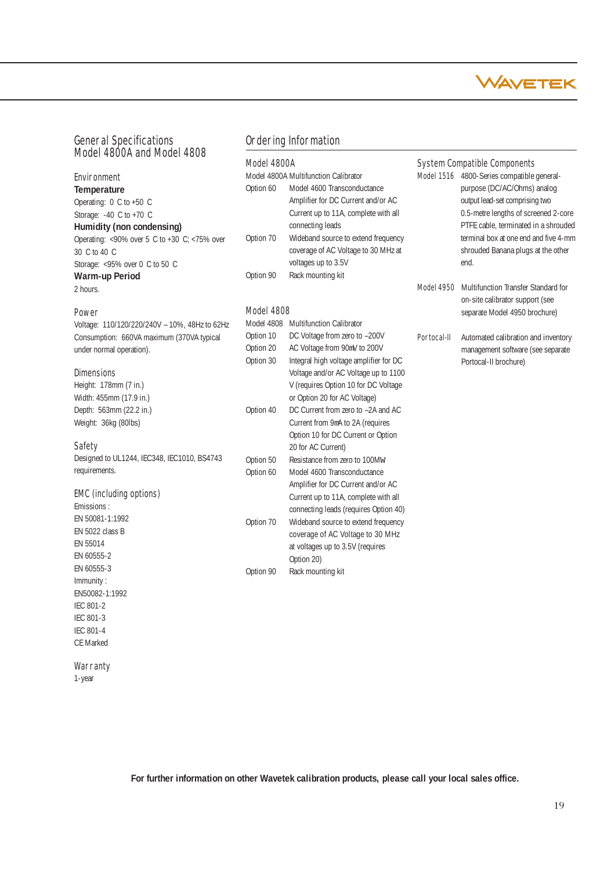

# General Specifications Model 4800A and Model 4808

# Environment

**Temperature** Operating: 0 C to +50 C Storage: -40 C to +70 C **Humidity (non condensing)** Operating: <90% over 5 C to +30 C; <75% over 30 C to 40 C Storage: <95% over 0 C to 50 C **Warm-up Period** 2 hours.

### **Power**

Voltage: 110/120/220/240V – 10%, 48Hz to 62Hz Consumption: 660VA maximum (370VA typical under normal operation).

### **Dimensions**

Height: 178mm (7 in.) Width: 455mm (17.9 in.) Depth: 563mm (22.2 in.) Weight: 36kg (80lbs)

### **Safety**

Designed to UL1244, IEC348, IEC1010, BS4743 requirements.

### EMC (including options)

Emissions : EN 50081-1:1992 EN 5022 class B EN 55014 EN 60555-2 EN 60555-3 Immunity : EN50082-1:1992 IEC 801-2 IEC 801-3 IEC 801-4 CE Marked

#### **Warranty**

1-year

### Ordering Information

### Model 4800A

|           | Model 4800A Multifunction Calibrator |
|-----------|--------------------------------------|
| Option 60 | Model 4600 Transconductance          |
|           | Amplifier for DC Current and/or AC   |
|           | Current up to 11A, complete with all |
|           | connecting leads                     |
| Option 70 | Wideband source to extend frequency  |
|           | coverage of AC Voltage to 30 MHz at  |
|           | voltages up to 3.5V                  |
| Option 90 | Rack mounting kit                    |
|           |                                      |

### Model 4808

| Model 4808 | <b>Multifunction Calibrator</b>        |
|------------|----------------------------------------|
| Option 10  | DC Voltage from zero to -200V          |
| Option 20  | AC Voltage from 90mV to 200V           |
| Option 30  | Integral high voltage amplifier for DC |
|            | Voltage and/or AC Voltage up to 1100   |
|            | V (requires Option 10 for DC Voltage   |
|            | or Option 20 for AC Voltage)           |
| Option 40  | DC Current from zero to -2A and AC     |
|            | Current from 9mA to 2A (requires       |
|            | Option 10 for DC Current or Option     |
|            | 20 for AC Current)                     |
| Option 50  | Resistance from zero to 100Mw          |
| Option 60  | Model 4600 Transconductance            |
|            | Amplifier for DC Current and/or AC     |
|            | Current up to 11A, complete with all   |
|            | connecting leads (requires Option 40)  |
| Option 70  | Wideband source to extend frequency    |
|            | coverage of AC Voltage to 30 MHz       |
|            | at voltages up to 3.5V (requires       |
|            | Option 20)                             |
| Option 90  | Rack mounting kit                      |
|            |                                        |

### System Compatible Components

Model 1516 4800-Series compatible generalpurpose (DC/AC/Ohms) analog output lead-set comprising two 0.5-metre lengths of screened 2-core PTFE cable, terminated in a shrouded terminal box at one end and five 4-mm shrouded Banana plugs at the other end.

- Model 4950 Multifunction Transfer Standard for on-site calibrator support (see separate Model 4950 brochure)
- Portocal-II Automated calibration and inventory management software (see separate Portocal-II brochure)

**For further information on other Wavetek calibration products, please call your local sales office.**